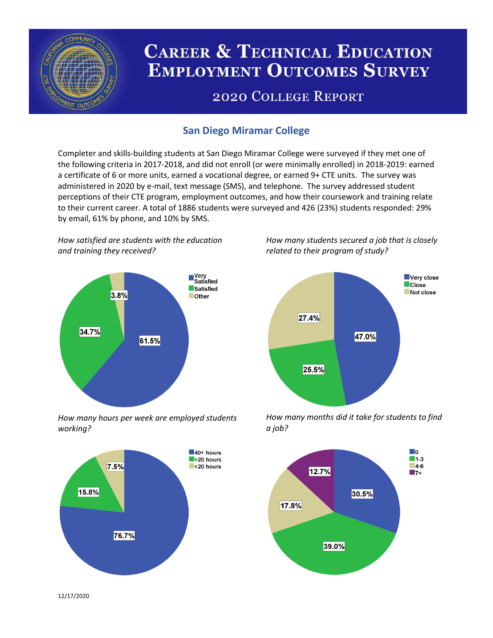

# **CAREER & TECHNICAL EDUCATION EMPLOYMENT OUTCOMES SURVEY**

## **2020 COLLEGE REPORT**

## **San Diego Miramar College**

Completer and skills-building students at San Diego Miramar College were surveyed if they met one of the following criteria in 2017-2018, and did not enroll (or were minimally enrolled) in 2018-2019: earned a certificate of 6 or more units, earned a vocational degree, or earned 9+ CTE units. The survey was administered in 2020 by e-mail, text message (SMS), and telephone. The survey addressed student perceptions of their CTE program, employment outcomes, and how their coursework and training relate to their current career. A total of 1886 students were surveyed and 426 (23%) students responded: 29% by email, 61% by phone, and 10% by SMS.

*How satisfied are students with the education and training they received?*



*How many hours per week are employed students working?*



*How many students secured a job that is closely related to their program of study?*



*How many months did it take for students to find a job?*